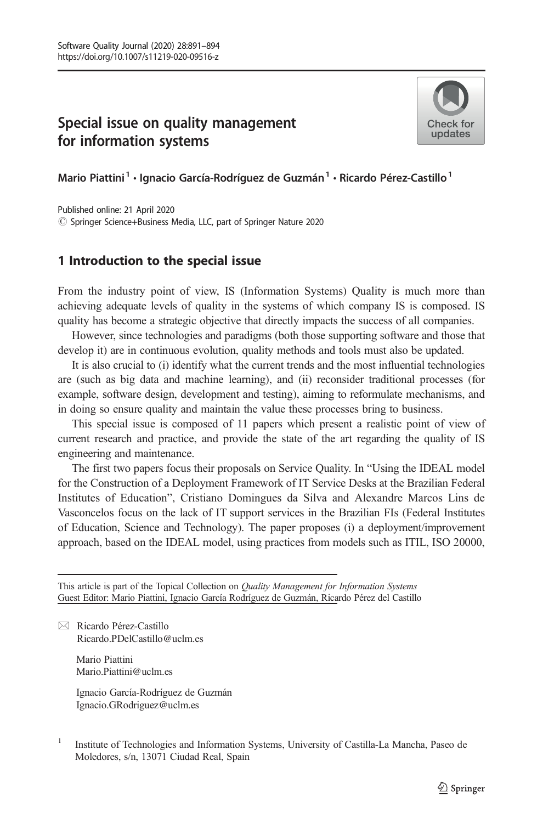## $\overline{\mathbf{S}}$  is uncertainty matrices on  $\overline{\mathbf{S}}$ for information systems



Mario Piattini<sup>1</sup> · Ignacio García-Rodríguez de Guzmán<sup>1</sup> · Ricardo Pérez-Castillo<sup>1</sup>

# Springer Science+Business Media, LLC, part of Springer Nature 2020Published online: 21 April 2020

## 1 Introduction to the special issue

From the industry point of view, IS (Information Systems) Quality is much more than achieving adequate levels of quality in the systems of which company IS is composed. IS quality has become a strategic objective that directly impacts the success of all companies.

However, since technologies and paradigms (both those supporting software and those that develop it) are in continuous evolution, quality methods and tools must also be updated.

It is also crucial to (i) identify what the current trends and the most influential technologies are (such as big data and machine learning), and (ii) reconsider traditional processes (for example, software design, development and testing), aiming to reformulate mechanisms, and in doing so ensure quality and maintain the value these processes bring to business.

This special issue is composed of 11 papers which present a realistic point of view of current research and practice, and provide the state of the art regarding the quality of IS engineering and maintenance.

The first two papers focus their proposals on Service Quality. In "Using the IDEAL model for the Construction of a Deployment Framework of IT Service Desks at the Brazilian Federal Institutes of Education", Cristiano Domingues da Silva and Alexandre Marcos Lins de Vasconcelos focus on the lack of IT support services in the Brazilian FIs (Federal Institutes of Education, Science and Technology). The paper proposes (i) a deployment/improvement approach, based on the IDEAL model, using practices from models such as ITIL, ISO 20000,

This article is part of the Topical Collection on Quality Management for Information Systems Guest Editor: Mario Piattini, Ignacio García Rodríguez de Guzmán, Ricardo Pérez del Castillo

 $\boxtimes$  Ricardo Pérez-Castillo [Ricardo.PDelCastillo@uclm.es](mailto:Ricardo.PDelCastillo@uclm.es)

> Mario Piattini Mario.Piattini@uclm.es

Ignacio García-Rodríguez de Guzmán Ignacio.GRodriguez@uclm.es

<sup>1</sup> Institute of Technologies and Information Systems, University of Castilla-La Mancha, Paseo de Moledores, s/n, 13071 Ciudad Real, Spain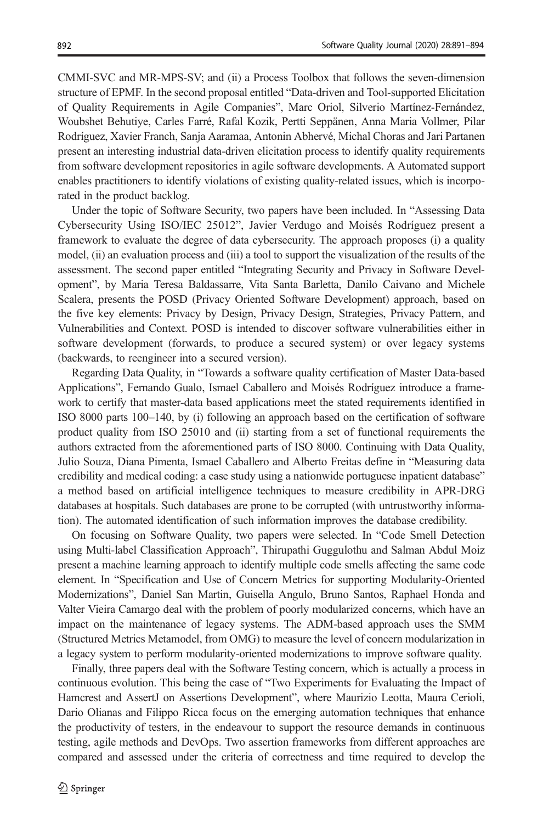CMMI-SVC and MR-MPS-SV; and (ii) a Process Toolbox that follows the seven-dimension structure of EPMF. In the second proposal entitled "Data-driven and Tool-supported Elicitation of Quality Requirements in Agile Companies", Marc Oriol, Silverio Martínez-Fernández, Woubshet Behutiye, Carles Farré, Rafal Kozik, Pertti Seppänen, Anna Maria Vollmer, Pilar Rodríguez, Xavier Franch, Sanja Aaramaa, Antonin Abhervé, Michal Choras and Jari Partanen present an interesting industrial data-driven elicitation process to identify quality requirements from software development repositories in agile software developments. A Automated support enables practitioners to identify violations of existing quality-related issues, which is incorporated in the product backlog.

Under the topic of Software Security, two papers have been included. In "Assessing Data Cybersecurity Using ISO/IEC 25012", Javier Verdugo and Moisés Rodríguez present a framework to evaluate the degree of data cybersecurity. The approach proposes (i) a quality model, (ii) an evaluation process and (iii) a tool to support the visualization of the results of the assessment. The second paper entitled "Integrating Security and Privacy in Software Development", by Maria Teresa Baldassarre, Vita Santa Barletta, Danilo Caivano and Michele Scalera, presents the POSD (Privacy Oriented Software Development) approach, based on the five key elements: Privacy by Design, Privacy Design, Strategies, Privacy Pattern, and Vulnerabilities and Context. POSD is intended to discover software vulnerabilities either in software development (forwards, to produce a secured system) or over legacy systems (backwards, to reengineer into a secured version).

Regarding Data Quality, in "Towards a software quality certification of Master Data-based Applications", Fernando Gualo, Ismael Caballero and Moisés Rodríguez introduce a framework to certify that master-data based applications meet the stated requirements identified in ISO 8000 parts 100–140, by (i) following an approach based on the certification of software product quality from ISO 25010 and (ii) starting from a set of functional requirements the authors extracted from the aforementioned parts of ISO 8000. Continuing with Data Quality, Julio Souza, Diana Pimenta, Ismael Caballero and Alberto Freitas define in "Measuring data credibility and medical coding: a case study using a nationwide portuguese inpatient database" a method based on artificial intelligence techniques to measure credibility in APR-DRG databases at hospitals. Such databases are prone to be corrupted (with untrustworthy information). The automated identification of such information improves the database credibility.

On focusing on Software Quality, two papers were selected. In "Code Smell Detection using Multi-label Classification Approach", Thirupathi Guggulothu and Salman Abdul Moiz present a machine learning approach to identify multiple code smells affecting the same code element. In "Specification and Use of Concern Metrics for supporting Modularity-Oriented Modernizations", Daniel San Martin, Guisella Angulo, Bruno Santos, Raphael Honda and Valter Vieira Camargo deal with the problem of poorly modularized concerns, which have an impact on the maintenance of legacy systems. The ADM-based approach uses the SMM (Structured Metrics Metamodel, from OMG) to measure the level of concern modularization in a legacy system to perform modularity-oriented modernizations to improve software quality.

Finally, three papers deal with the Software Testing concern, which is actually a process in continuous evolution. This being the case of "Two Experiments for Evaluating the Impact of Hamcrest and AssertJ on Assertions Development", where Maurizio Leotta, Maura Cerioli, Dario Olianas and Filippo Ricca focus on the emerging automation techniques that enhance the productivity of testers, in the endeavour to support the resource demands in continuous testing, agile methods and DevOps. Two assertion frameworks from different approaches are compared and assessed under the criteria of correctness and time required to develop the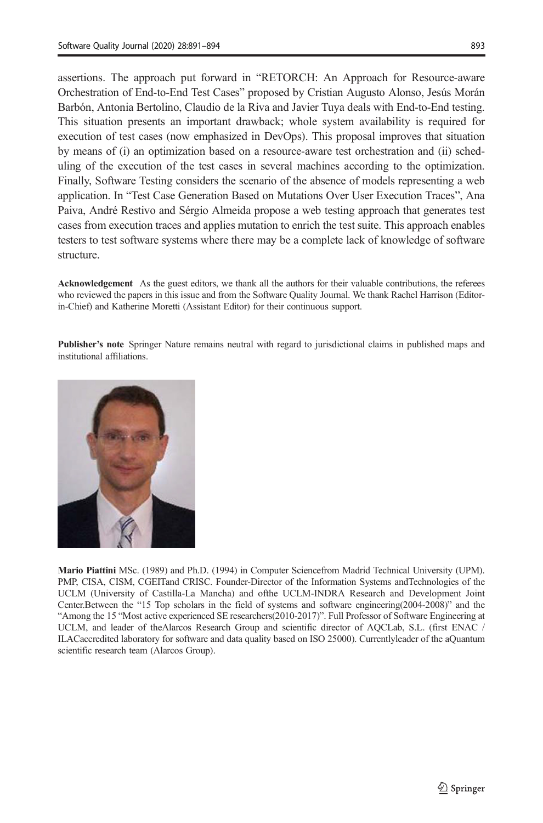assertions. The approach put forward in "RETORCH: An Approach for Resource-aware Orchestration of End-to-End Test Cases" proposed by Cristian Augusto Alonso, Jesús Morán Barbón, Antonia Bertolino, Claudio de la Riva and Javier Tuya deals with End-to-End testing. This situation presents an important drawback; whole system availability is required for execution of test cases (now emphasized in DevOps). This proposal improves that situation by means of (i) an optimization based on a resource-aware test orchestration and (ii) scheduling of the execution of the test cases in several machines according to the optimization. Finally, Software Testing considers the scenario of the absence of models representing a web application. In "Test Case Generation Based on Mutations Over User Execution Traces", Ana Paiva, André Restivo and Sérgio Almeida propose a web testing approach that generates test cases from execution traces and applies mutation to enrich the test suite. This approach enables testers to test software systems where there may be a complete lack of knowledge of software structure.

Acknowledgement As the guest editors, we thank all the authors for their valuable contributions, the referees who reviewed the papers in this issue and from the Software Quality Journal. We thank Rachel Harrison (Editorin-Chief) and Katherine Moretti (Assistant Editor) for their continuous support.

Publisher's note Springer Nature remains neutral with regard to jurisdictional claims in published maps and institutional affiliations.



Mario Piattini MSc. (1989) and Ph.D. (1994) in Computer Sciencefrom Madrid Technical University (UPM). PMP, CISA, CISM, CGEITand CRISC. Founder-Director of the Information Systems andTechnologies of the UCLM (University of Castilla-La Mancha) and ofthe UCLM-INDRA Research and Development Joint Center.Between the "15 Top scholars in the field of systems and software engineering(2004-2008)" and the "Among the 15 "Most active experienced SE researchers(2010-2017)". Full Professor of Software Engineering at UCLM, and leader of theAlarcos Research Group and scientific director of AQCLab, S.L. (first ENAC / ILACaccredited laboratory for software and data quality based on ISO 25000). Currentlyleader of the aQuantum scientific research team (Alarcos Group).